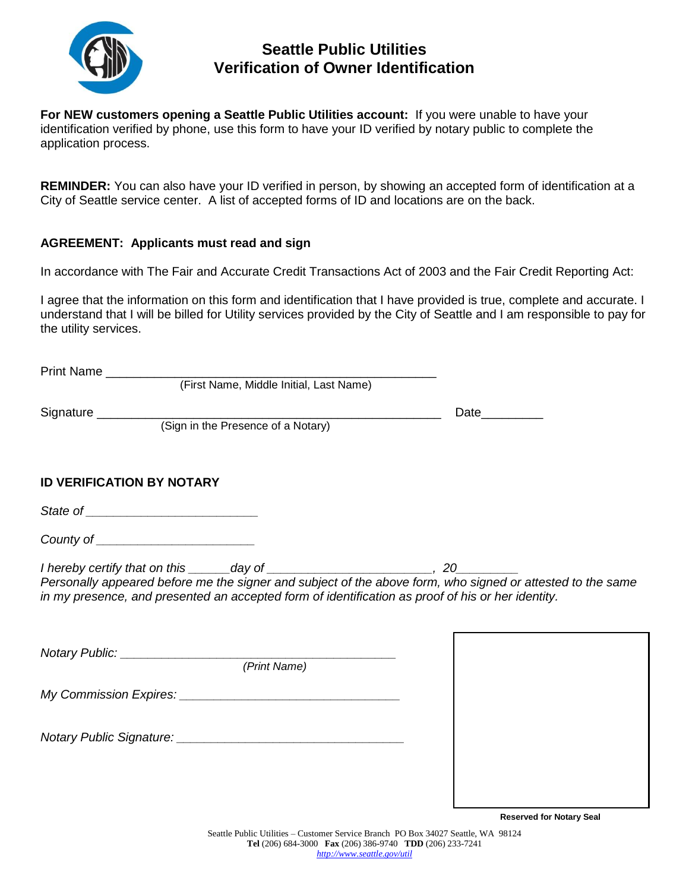

# **Seattle Public Utilities Verification of Owner Identification**

**For NEW customers opening a Seattle Public Utilities account:** If you were unable to have your identification verified by phone, use this form to have your ID verified by notary public to complete the application process.

**REMINDER:** You can also have your ID verified in person, by showing an accepted form of identification at a City of Seattle service center. A list of accepted forms of ID and locations are on the back.

#### **AGREEMENT: Applicants must read and sign**

In accordance with The Fair and Accurate Credit Transactions Act of 2003 and the Fair Credit Reporting Act:

I agree that the information on this form and identification that I have provided is true, complete and accurate. I understand that I will be billed for Utility services provided by the City of Seattle and I am responsible to pay for the utility services.

|                                                                                                   | Date__________ |
|---------------------------------------------------------------------------------------------------|----------------|
|                                                                                                   |                |
|                                                                                                   |                |
| <b>ID VERIFICATION BY NOTARY</b>                                                                  |                |
|                                                                                                   |                |
| County of _________________________                                                               |                |
| in my presence, and presented an accepted form of identification as proof of his or her identity. |                |
|                                                                                                   |                |
|                                                                                                   |                |
|                                                                                                   |                |
|                                                                                                   |                |
|                                                                                                   |                |